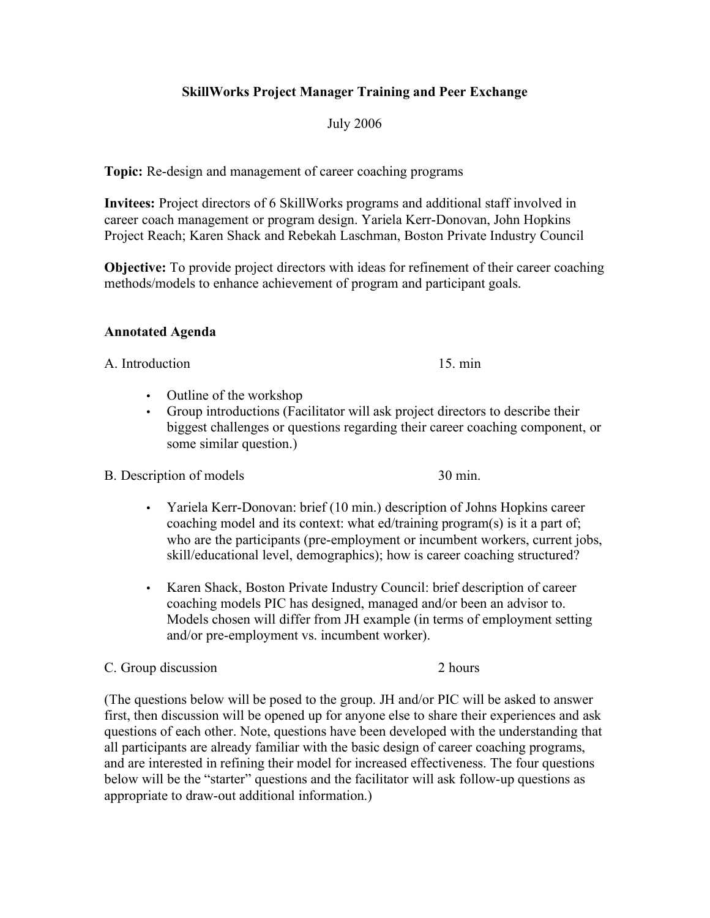### **SkillWorks Project Manager Training and Peer Exchange**

### July 2006

**Topic:** Re-design and management of career coaching programs

**Invitees:** Project directors of 6 SkillWorks programs and additional staff involved in career coach management or program design. Yariela Kerr-Donovan, John Hopkins Project Reach; Karen Shack and Rebekah Laschman, Boston Private Industry Council

**Objective:** To provide project directors with ideas for refinement of their career coaching methods/models to enhance achievement of program and participant goals.

#### **Annotated Agenda**

A. Introduction 15. min

- Outline of the workshop
- Group introductions (Facilitator will ask project directors to describe their biggest challenges or questions regarding their career coaching component, or some similar question.)

#### B. Description of models 30 min.

- Yariela Kerr-Donovan: brief (10 min.) description of Johns Hopkins career coaching model and its context: what ed/training program(s) is it a part of; who are the participants (pre-employment or incumbent workers, current jobs, skill/educational level, demographics); how is career coaching structured?
- Karen Shack, Boston Private Industry Council: brief description of career coaching models PIC has designed, managed and/or been an advisor to. Models chosen will differ from JH example (in terms of employment setting and/or pre-employment vs. incumbent worker).

#### C. Group discussion 2 hours

(The questions below will be posed to the group. JH and/or PIC will be asked to answer first, then discussion will be opened up for anyone else to share their experiences and ask questions of each other. Note, questions have been developed with the understanding that all participants are already familiar with the basic design of career coaching programs, and are interested in refining their model for increased effectiveness. The four questions below will be the "starter" questions and the facilitator will ask follow-up questions as appropriate to draw-out additional information.)